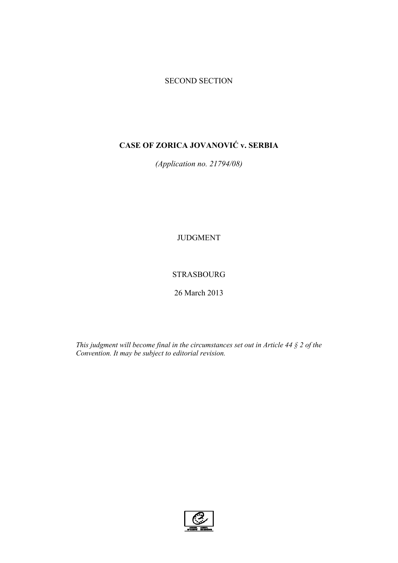### SECOND SECTION

# **CASE OF ZORICA JOVANOVIĆ v. SERBIA**

*(Application no. 21794/08)* 

JUDGMENT

STRASBOURG

26 March 2013

*This judgment will become final in the circumstances set out in Article 44 § 2 of the Convention. It may be subject to editorial revision.*

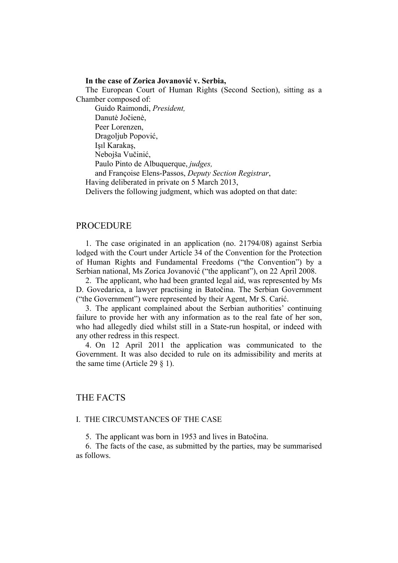#### **In the case of Zorica Jovanović v. Serbia,**

The European Court of Human Rights (Second Section), sitting as a Chamber composed of: Guido Raimondi, *President,*  Danutė Jočienė, Peer Lorenzen, Dragoljub Popović, Işıl Karakaş, Nebojša Vučinić, Paulo Pinto de Albuquerque, *judges,*  and Françoise Elens-Passos, *Deputy Section Registrar*, Having deliberated in private on 5 March 2013, Delivers the following judgment, which was adopted on that date:

### PROCEDURE

1. The case originated in an application (no. 21794/08) against Serbia lodged with the Court under Article 34 of the Convention for the Protection of Human Rights and Fundamental Freedoms ("the Convention") by a Serbian national, Ms Zorica Jovanović ("the applicant"), on 22 April 2008.

2. The applicant, who had been granted legal aid, was represented by Ms D. Govedarica, a lawyer practising in Batočina. The Serbian Government ("the Government") were represented by their Agent, Mr S. Carić.

3. The applicant complained about the Serbian authorities' continuing failure to provide her with any information as to the real fate of her son, who had allegedly died whilst still in a State-run hospital, or indeed with any other redress in this respect.

4. On 12 April 2011 the application was communicated to the Government. It was also decided to rule on its admissibility and merits at the same time (Article 29 § 1).

### THE FACTS

### I. THE CIRCUMSTANCES OF THE CASE

5. The applicant was born in 1953 and lives in Batočina.

6. The facts of the case, as submitted by the parties, may be summarised as follows.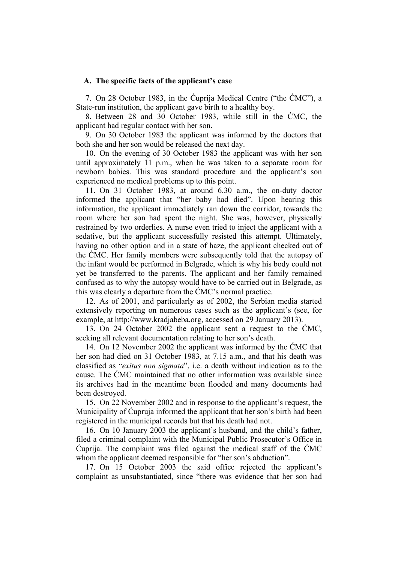#### **A. The specific facts of the applicant's case**

7. On 28 October 1983, in the Ćuprija Medical Centre ("the ĆMC"), a State-run institution, the applicant gave birth to a healthy boy.

8. Between 28 and 30 October 1983, while still in the ĆMC, the applicant had regular contact with her son.

9. On 30 October 1983 the applicant was informed by the doctors that both she and her son would be released the next day.

10. On the evening of 30 October 1983 the applicant was with her son until approximately 11 p.m., when he was taken to a separate room for newborn babies. This was standard procedure and the applicant's son experienced no medical problems up to this point.

11. On 31 October 1983, at around 6.30 a.m., the on-duty doctor informed the applicant that "her baby had died". Upon hearing this information, the applicant immediately ran down the corridor, towards the room where her son had spent the night. She was, however, physically restrained by two orderlies. A nurse even tried to inject the applicant with a sedative, but the applicant successfully resisted this attempt. Ultimately, having no other option and in a state of haze, the applicant checked out of the ĆMC. Her family members were subsequently told that the autopsy of the infant would be performed in Belgrade, which is why his body could not yet be transferred to the parents. The applicant and her family remained confused as to why the autopsy would have to be carried out in Belgrade, as this was clearly a departure from the ĆMC's normal practice.

12. As of 2001, and particularly as of 2002, the Serbian media started extensively reporting on numerous cases such as the applicant's (see, for example, at http://www.kradjabeba.org, accessed on 29 January 2013).

13. On 24 October 2002 the applicant sent a request to the ĆMC, seeking all relevant documentation relating to her son's death.

14. On 12 November 2002 the applicant was informed by the ĆMC that her son had died on 31 October 1983, at 7.15 a.m., and that his death was classified as "*exitus non sigmata*", i.e. a death without indication as to the cause. The ĆMC maintained that no other information was available since its archives had in the meantime been flooded and many documents had been destroyed.

15. On 22 November 2002 and in response to the applicant's request, the Municipality of Ćupruja informed the applicant that her son's birth had been registered in the municipal records but that his death had not.

16. On 10 January 2003 the applicant's husband, and the child's father, filed a criminal complaint with the Municipal Public Prosecutor's Office in Ćuprija. The complaint was filed against the medical staff of the ĆMC whom the applicant deemed responsible for "her son's abduction".

17. On 15 October 2003 the said office rejected the applicant's complaint as unsubstantiated, since "there was evidence that her son had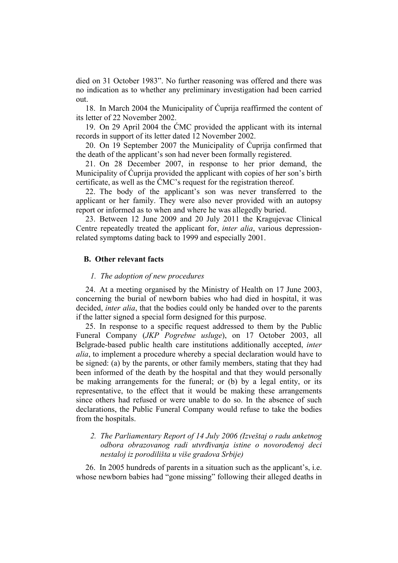died on 31 October 1983". No further reasoning was offered and there was no indication as to whether any preliminary investigation had been carried out.

18. In March 2004 the Municipality of Ćuprija reaffirmed the content of its letter of 22 November 2002.

19. On 29 April 2004 the ĆMC provided the applicant with its internal records in support of its letter dated 12 November 2002.

20. On 19 September 2007 the Municipality of Ćuprija confirmed that the death of the applicant's son had never been formally registered.

21. On 28 December 2007, in response to her prior demand, the Municipality of Ćuprija provided the applicant with copies of her son's birth certificate, as well as the ĆMC's request for the registration thereof.

22. The body of the applicant's son was never transferred to the applicant or her family. They were also never provided with an autopsy report or informed as to when and where he was allegedly buried.

23. Between 12 June 2009 and 20 July 2011 the Kragujevac Clinical Centre repeatedly treated the applicant for, *inter alia*, various depressionrelated symptoms dating back to 1999 and especially 2001.

#### **B. Other relevant facts**

#### *1. The adoption of new procedures*

24. At a meeting organised by the Ministry of Health on 17 June 2003, concerning the burial of newborn babies who had died in hospital, it was decided, *inter alia*, that the bodies could only be handed over to the parents if the latter signed a special form designed for this purpose.

25. In response to a specific request addressed to them by the Public Funeral Company (*JKP Pogrebne usluge*), on 17 October 2003, all Belgrade-based public health care institutions additionally accepted, *inter alia*, to implement a procedure whereby a special declaration would have to be signed: (a) by the parents, or other family members, stating that they had been informed of the death by the hospital and that they would personally be making arrangements for the funeral; or (b) by a legal entity, or its representative, to the effect that it would be making these arrangements since others had refused or were unable to do so. In the absence of such declarations, the Public Funeral Company would refuse to take the bodies from the hospitals.

*2. The Parliamentary Report of 14 July 2006 (Izveštaj o radu anketnog odbora obrazovanog radi utvrđivanja istine o novorođenoj deci nestaloj iz porodilišta u više gradova Srbije)* 

26. In 2005 hundreds of parents in a situation such as the applicant's, i.e. whose newborn babies had "gone missing" following their alleged deaths in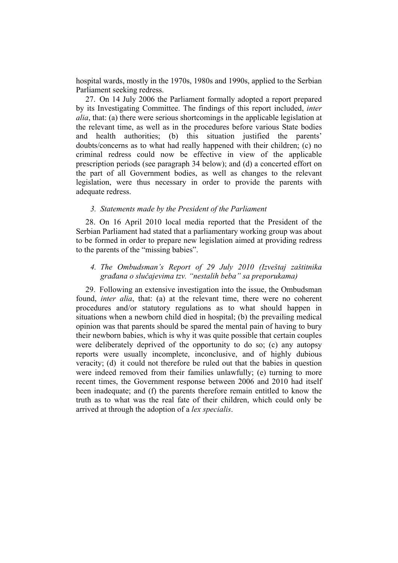hospital wards, mostly in the 1970s, 1980s and 1990s, applied to the Serbian Parliament seeking redress.

27. On 14 July 2006 the Parliament formally adopted a report prepared by its Investigating Committee. The findings of this report included, *inter alia*, that: (a) there were serious shortcomings in the applicable legislation at the relevant time, as well as in the procedures before various State bodies and health authorities; (b) this situation justified the parents' doubts/concerns as to what had really happened with their children; (c) no criminal redress could now be effective in view of the applicable prescription periods (see paragraph 34 below); and (d) a concerted effort on the part of all Government bodies, as well as changes to the relevant legislation, were thus necessary in order to provide the parents with adequate redress.

### *3. Statements made by the President of the Parliament*

28. On 16 April 2010 local media reported that the President of the Serbian Parliament had stated that a parliamentary working group was about to be formed in order to prepare new legislation aimed at providing redress to the parents of the "missing babies".

### *4. The Ombudsman's Report of 29 July 2010 (Izveštaj zaštitnika građana o slučajevima tzv. "nestalih beba" sa preporukama)*

29. Following an extensive investigation into the issue, the Ombudsman found, *inter alia*, that: (a) at the relevant time, there were no coherent procedures and/or statutory regulations as to what should happen in situations when a newborn child died in hospital; (b) the prevailing medical opinion was that parents should be spared the mental pain of having to bury their newborn babies, which is why it was quite possible that certain couples were deliberately deprived of the opportunity to do so; (c) any autopsy reports were usually incomplete, inconclusive, and of highly dubious veracity; (d) it could not therefore be ruled out that the babies in question were indeed removed from their families unlawfully; (e) turning to more recent times, the Government response between 2006 and 2010 had itself been inadequate; and (f) the parents therefore remain entitled to know the truth as to what was the real fate of their children, which could only be arrived at through the adoption of a *lex specialis*.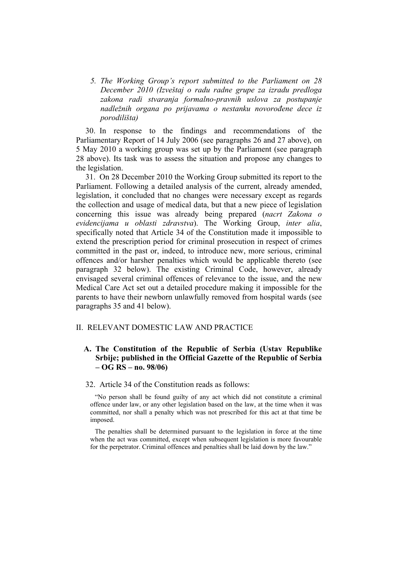*5. The Working Group's report submitted to the Parliament on 28 December 2010 (Izveštaj o radu radne grupe za izradu predloga zakona radi stvaranja formalno-pravnih uslova za postupanje nadležnih organa po prijavama o nestanku novorođene dece iz porodilišta)* 

30. In response to the findings and recommendations of the Parliamentary Report of 14 July 2006 (see paragraphs 26 and 27 above), on 5 May 2010 a working group was set up by the Parliament (see paragraph 28 above). Its task was to assess the situation and propose any changes to the legislation.

31. On 28 December 2010 the Working Group submitted its report to the Parliament. Following a detailed analysis of the current, already amended, legislation, it concluded that no changes were necessary except as regards the collection and usage of medical data, but that a new piece of legislation concerning this issue was already being prepared (*nacrt Zakona o evidencijama u oblasti zdravstva*). The Working Group, *inter alia*, specifically noted that Article 34 of the Constitution made it impossible to extend the prescription period for criminal prosecution in respect of crimes committed in the past or, indeed, to introduce new, more serious, criminal offences and/or harsher penalties which would be applicable thereto (see paragraph 32 below). The existing Criminal Code, however, already envisaged several criminal offences of relevance to the issue, and the new Medical Care Act set out a detailed procedure making it impossible for the parents to have their newborn unlawfully removed from hospital wards (see paragraphs 35 and 41 below).

### II. RELEVANT DOMESTIC LAW AND PRACTICE

### **A. The Constitution of the Republic of Serbia (Ustav Republike Srbije; published in the Official Gazette of the Republic of Serbia – OG RS – no. 98/06)**

#### 32. Article 34 of the Constitution reads as follows:

"No person shall be found guilty of any act which did not constitute a criminal offence under law, or any other legislation based on the law, at the time when it was committed, nor shall a penalty which was not prescribed for this act at that time be imposed.

The penalties shall be determined pursuant to the legislation in force at the time when the act was committed, except when subsequent legislation is more favourable for the perpetrator. Criminal offences and penalties shall be laid down by the law."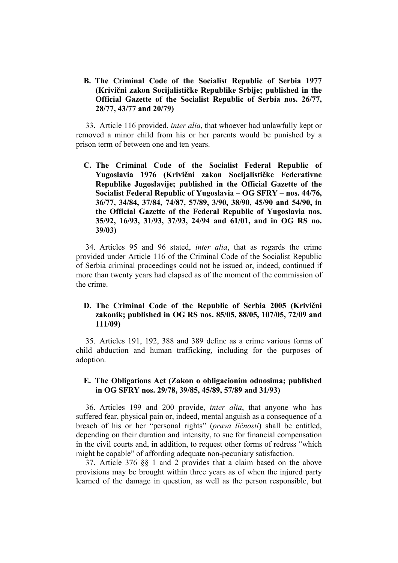**B. The Criminal Code of the Socialist Republic of Serbia 1977 (Krivični zakon Socijalističke Republike Srbije; published in the Official Gazette of the Socialist Republic of Serbia nos. 26/77, 28/77, 43/77 and 20/79)** 

33. Article 116 provided, *inter alia*, that whoever had unlawfully kept or removed a minor child from his or her parents would be punished by a prison term of between one and ten years.

**C. The Criminal Code of the Socialist Federal Republic of Yugoslavia 1976 (Krivični zakon Socijalističke Federativne Republike Jugoslavije; published in the Official Gazette of the Socialist Federal Republic of Yugoslavia – OG SFRY – nos. 44/76, 36/77, 34/84, 37/84, 74/87, 57/89, 3/90, 38/90, 45/90 and 54/90, in the Official Gazette of the Federal Republic of Yugoslavia nos. 35/92, 16/93, 31/93, 37/93, 24/94 and 61/01, and in OG RS no. 39/03)** 

34. Articles 95 and 96 stated, *inter alia*, that as regards the crime provided under Article 116 of the Criminal Code of the Socialist Republic of Serbia criminal proceedings could not be issued or, indeed, continued if more than twenty years had elapsed as of the moment of the commission of the crime.

### **D. The Criminal Code of the Republic of Serbia 2005 (Krivični zakonik; published in OG RS nos. 85/05, 88/05, 107/05, 72/09 and 111/09)**

35. Articles 191, 192, 388 and 389 define as a crime various forms of child abduction and human trafficking, including for the purposes of adoption.

### **E. The Obligations Act (Zakon o obligacionim odnosima; published in OG SFRY nos. 29/78, 39/85, 45/89, 57/89 and 31/93)**

36. Articles 199 and 200 provide, *inter alia*, that anyone who has suffered fear, physical pain or, indeed, mental anguish as a consequence of a breach of his or her "personal rights" (*prava ličnosti*) shall be entitled, depending on their duration and intensity, to sue for financial compensation in the civil courts and, in addition, to request other forms of redress "which might be capable" of affording adequate non-pecuniary satisfaction.

37. Article 376 §§ 1 and 2 provides that a claim based on the above provisions may be brought within three years as of when the injured party learned of the damage in question, as well as the person responsible, but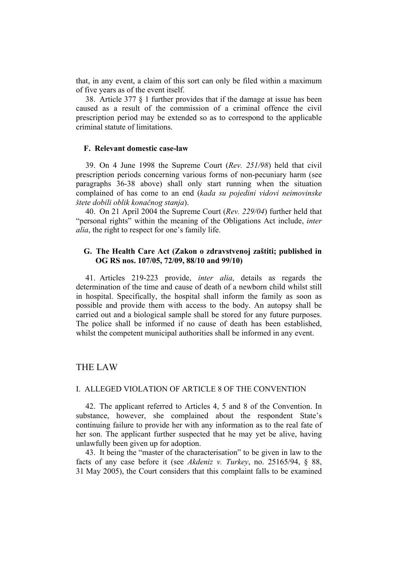that, in any event, a claim of this sort can only be filed within a maximum of five years as of the event itself.

38. Article 377 § 1 further provides that if the damage at issue has been caused as a result of the commission of a criminal offence the civil prescription period may be extended so as to correspond to the applicable criminal statute of limitations.

#### **F. Relevant domestic case-law**

39. On 4 June 1998 the Supreme Court (*Rev. 251/98*) held that civil prescription periods concerning various forms of non-pecuniary harm (see paragraphs 36-38 above) shall only start running when the situation complained of has come to an end (*kada su pojedini vidovi neimovinske štete dobili oblik konačnog stanja*).

40. On 21 April 2004 the Supreme Court (*Rev. 229/04*) further held that "personal rights" within the meaning of the Obligations Act include, *inter alia*, the right to respect for one's family life.

### **G. The Health Care Act (Zakon o zdravstvenoj zaštiti; published in OG RS nos. 107/05, 72/09, 88/10 and 99/10)**

41. Articles 219-223 provide, *inter alia*, details as regards the determination of the time and cause of death of a newborn child whilst still in hospital. Specifically, the hospital shall inform the family as soon as possible and provide them with access to the body. An autopsy shall be carried out and a biological sample shall be stored for any future purposes. The police shall be informed if no cause of death has been established, whilst the competent municipal authorities shall be informed in any event.

### THE LAW

#### I. ALLEGED VIOLATION OF ARTICLE 8 OF THE CONVENTION

42. The applicant referred to Articles 4, 5 and 8 of the Convention. In substance, however, she complained about the respondent State's continuing failure to provide her with any information as to the real fate of her son. The applicant further suspected that he may yet be alive, having unlawfully been given up for adoption.

43. It being the "master of the characterisation" to be given in law to the facts of any case before it (see *Akdeniz v. Turkey*, no. 25165/94, § 88, 31 May 2005), the Court considers that this complaint falls to be examined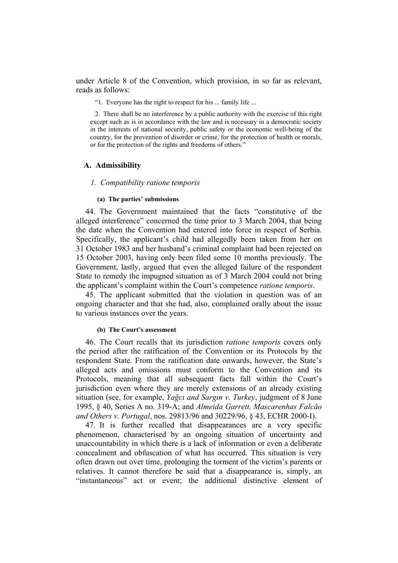under Article 8 of the Convention, which provision, in so far as relevant, reads as follows:

"1. Everyone has the right to respect for his ... family life ...

2. There shall be no interference by a public authority with the exercise of this right except such as is in accordance with the law and is necessary in a democratic society in the interests of national security, public safety or the economic well-being of the country, for the prevention of disorder or crime, for the protection of health or morals, or for the protection of the rights and freedoms of others."

#### **A. Admissibility**

#### *1. Compatibility ratione temporis*

#### **(a) The parties' submissions**

44. The Government maintained that the facts "constitutive of the alleged interference" concerned the time prior to 3 March 2004, that being the date when the Convention had entered into force in respect of Serbia. Specifically, the applicant's child had allegedly been taken from her on 31 October 1983 and her husband's criminal complaint had been rejected on 15 October 2003, having only been filed some 10 months previously. The Government, lastly, argued that even the alleged failure of the respondent State to remedy the impugned situation as of 3 March 2004 could not bring the applicant's complaint within the Court's competence *ratione temporis*.

45. The applicant submitted that the violation in question was of an ongoing character and that she had, also, complained orally about the issue to various instances over the years.

#### **(b) The Court's assessment**

46. The Court recalls that its jurisdiction *ratione temporis* covers only the period after the ratification of the Convention or its Protocols by the respondent State. From the ratification date onwards, however, the State's alleged acts and omissions must conform to the Convention and its Protocols, meaning that all subsequent facts fall within the Court's jurisdiction even where they are merely extensions of an already existing situation (see, for example, *Yağcı and Sargın v. Turkey*, judgment of 8 June 1995, § 40, Series A no. 319-A; and *Almeida Garrett, Mascarenhas Falcão and Others v. Portugal*, nos. 29813/96 and 30229/96, § 43, ECHR 2000-I).

47. It is further recalled that disappearances are a very specific phenomenon, characterised by an ongoing situation of uncertainty and unaccountability in which there is a lack of information or even a deliberate concealment and obfuscation of what has occurred. This situation is very often drawn out over time, prolonging the torment of the victim's parents or relatives. It cannot therefore be said that a disappearance is, simply, an "instantaneous" act or event; the additional distinctive element of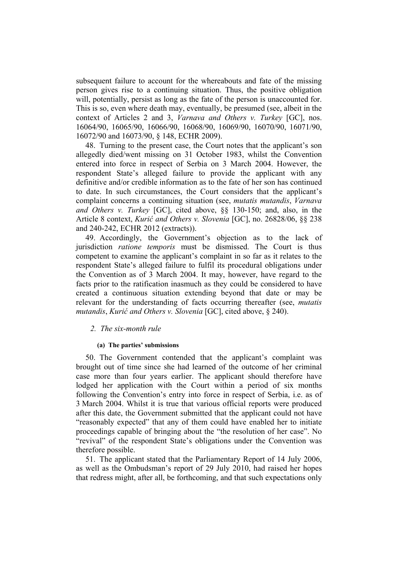subsequent failure to account for the whereabouts and fate of the missing person gives rise to a continuing situation. Thus, the positive obligation will, potentially, persist as long as the fate of the person is unaccounted for. This is so, even where death may, eventually, be presumed (see, albeit in the context of Articles 2 and 3, *Varnava and Others v. Turkey* [GC], nos. 16064/90, 16065/90, 16066/90, 16068/90, 16069/90, 16070/90, 16071/90, 16072/90 and 16073/90, § 148, ECHR 2009).

48. Turning to the present case, the Court notes that the applicant's son allegedly died/went missing on 31 October 1983, whilst the Convention entered into force in respect of Serbia on 3 March 2004. However, the respondent State's alleged failure to provide the applicant with any definitive and/or credible information as to the fate of her son has continued to date. In such circumstances, the Court considers that the applicant's complaint concerns a continuing situation (see, *mutatis mutandis*, *Varnava and Others v. Turkey* [GC], cited above, §§ 130-150; and, also, in the Article 8 context, *Kurić and Others v. Slovenia* [GC], no. 26828/06, §§ 238 and 240-242, ECHR 2012 (extracts)).

49. Accordingly, the Government's objection as to the lack of jurisdiction *ratione temporis* must be dismissed. The Court is thus competent to examine the applicant's complaint in so far as it relates to the respondent State's alleged failure to fulfil its procedural obligations under the Convention as of 3 March 2004. It may, however, have regard to the facts prior to the ratification inasmuch as they could be considered to have created a continuous situation extending beyond that date or may be relevant for the understanding of facts occurring thereafter (see, *mutatis mutandis*, *Kurić and Others v. Slovenia* [GC], cited above, § 240).

#### *2. The six-month rule*

#### **(a) The parties' submissions**

50. The Government contended that the applicant's complaint was brought out of time since she had learned of the outcome of her criminal case more than four years earlier. The applicant should therefore have lodged her application with the Court within a period of six months following the Convention's entry into force in respect of Serbia, i.e. as of 3 March 2004. Whilst it is true that various official reports were produced after this date, the Government submitted that the applicant could not have "reasonably expected" that any of them could have enabled her to initiate proceedings capable of bringing about the "the resolution of her case". No "revival" of the respondent State's obligations under the Convention was therefore possible.

51. The applicant stated that the Parliamentary Report of 14 July 2006, as well as the Ombudsman's report of 29 July 2010, had raised her hopes that redress might, after all, be forthcoming, and that such expectations only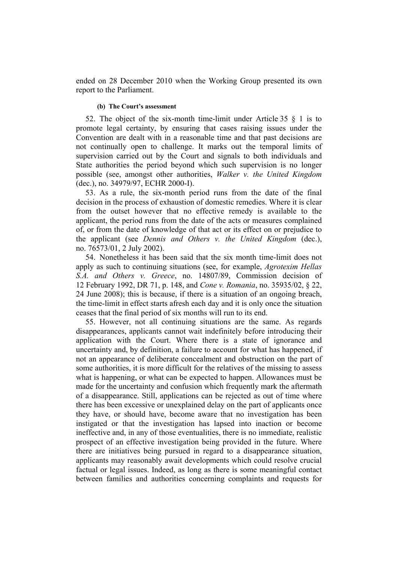ended on 28 December 2010 when the Working Group presented its own report to the Parliament.

#### **(b) The Court's assessment**

52. The object of the six-month time-limit under Article 35 § 1 is to promote legal certainty, by ensuring that cases raising issues under the Convention are dealt with in a reasonable time and that past decisions are not continually open to challenge. It marks out the temporal limits of supervision carried out by the Court and signals to both individuals and State authorities the period beyond which such supervision is no longer possible (see, amongst other authorities, *Walker v. the United Kingdom*  (dec.), no. 34979/97, ECHR 2000-I).

53. As a rule, the six-month period runs from the date of the final decision in the process of exhaustion of domestic remedies. Where it is clear from the outset however that no effective remedy is available to the applicant, the period runs from the date of the acts or measures complained of, or from the date of knowledge of that act or its effect on or prejudice to the applicant (see *Dennis and Others v. the United Kingdom* (dec.), no. 76573/01, 2 July 2002).

54. Nonetheless it has been said that the six month time-limit does not apply as such to continuing situations (see, for example, *Agrotexim Hellas S.A. and Others v. Greece*, no. 14807/89, Commission decision of 12 February 1992, DR 71, p. 148, and *Cone v. Romania*, no. 35935/02, § 22, 24 June 2008); this is because, if there is a situation of an ongoing breach, the time-limit in effect starts afresh each day and it is only once the situation ceases that the final period of six months will run to its end.

55. However, not all continuing situations are the same. As regards disappearances, applicants cannot wait indefinitely before introducing their application with the Court. Where there is a state of ignorance and uncertainty and, by definition, a failure to account for what has happened, if not an appearance of deliberate concealment and obstruction on the part of some authorities, it is more difficult for the relatives of the missing to assess what is happening, or what can be expected to happen. Allowances must be made for the uncertainty and confusion which frequently mark the aftermath of a disappearance. Still, applications can be rejected as out of time where there has been excessive or unexplained delay on the part of applicants once they have, or should have, become aware that no investigation has been instigated or that the investigation has lapsed into inaction or become ineffective and, in any of those eventualities, there is no immediate, realistic prospect of an effective investigation being provided in the future. Where there are initiatives being pursued in regard to a disappearance situation, applicants may reasonably await developments which could resolve crucial factual or legal issues. Indeed, as long as there is some meaningful contact between families and authorities concerning complaints and requests for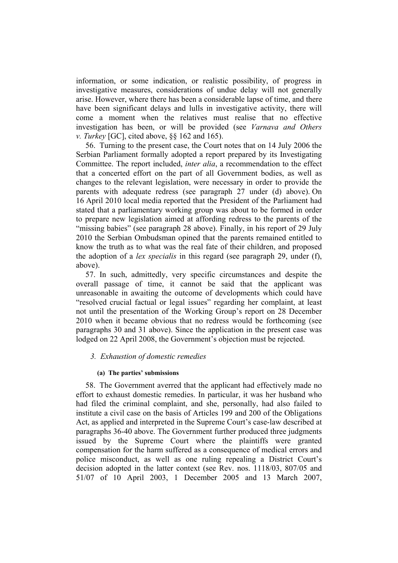information, or some indication, or realistic possibility, of progress in investigative measures, considerations of undue delay will not generally arise. However, where there has been a considerable lapse of time, and there have been significant delays and lulls in investigative activity, there will come a moment when the relatives must realise that no effective investigation has been, or will be provided (see *Varnava and Others v. Turkey* [GC], cited above, §§ 162 and 165).

56. Turning to the present case, the Court notes that on 14 July 2006 the Serbian Parliament formally adopted a report prepared by its Investigating Committee. The report included, *inter alia*, a recommendation to the effect that a concerted effort on the part of all Government bodies, as well as changes to the relevant legislation, were necessary in order to provide the parents with adequate redress (see paragraph 27 under (d) above). On 16 April 2010 local media reported that the President of the Parliament had stated that a parliamentary working group was about to be formed in order to prepare new legislation aimed at affording redress to the parents of the "missing babies" (see paragraph 28 above). Finally, in his report of 29 July 2010 the Serbian Ombudsman opined that the parents remained entitled to know the truth as to what was the real fate of their children, and proposed the adoption of a *lex specialis* in this regard (see paragraph 29, under (f), above).

57. In such, admittedly, very specific circumstances and despite the overall passage of time, it cannot be said that the applicant was unreasonable in awaiting the outcome of developments which could have "resolved crucial factual or legal issues" regarding her complaint, at least not until the presentation of the Working Group's report on 28 December 2010 when it became obvious that no redress would be forthcoming (see paragraphs 30 and 31 above). Since the application in the present case was lodged on 22 April 2008, the Government's objection must be rejected.

#### *3. Exhaustion of domestic remedies*

#### **(a) The parties' submissions**

58. The Government averred that the applicant had effectively made no effort to exhaust domestic remedies. In particular, it was her husband who had filed the criminal complaint, and she, personally, had also failed to institute a civil case on the basis of Articles 199 and 200 of the Obligations Act, as applied and interpreted in the Supreme Court's case-law described at paragraphs 36-40 above. The Government further produced three judgments issued by the Supreme Court where the plaintiffs were granted compensation for the harm suffered as a consequence of medical errors and police misconduct, as well as one ruling repealing a District Court's decision adopted in the latter context (see Rev. nos. 1118/03, 807/05 and 51/07 of 10 April 2003, 1 December 2005 and 13 March 2007,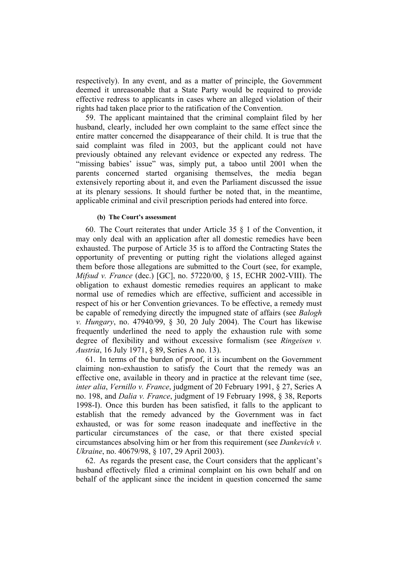respectively). In any event, and as a matter of principle, the Government deemed it unreasonable that a State Party would be required to provide effective redress to applicants in cases where an alleged violation of their rights had taken place prior to the ratification of the Convention.

59. The applicant maintained that the criminal complaint filed by her husband, clearly, included her own complaint to the same effect since the entire matter concerned the disappearance of their child. It is true that the said complaint was filed in 2003, but the applicant could not have previously obtained any relevant evidence or expected any redress. The "missing babies' issue" was, simply put, a taboo until 2001 when the parents concerned started organising themselves, the media began extensively reporting about it, and even the Parliament discussed the issue at its plenary sessions. It should further be noted that, in the meantime, applicable criminal and civil prescription periods had entered into force.

### **(b) The Court's assessment**

60. The Court reiterates that under Article 35 § 1 of the Convention, it may only deal with an application after all domestic remedies have been exhausted. The purpose of Article 35 is to afford the Contracting States the opportunity of preventing or putting right the violations alleged against them before those allegations are submitted to the Court (see, for example, *Mifsud v. France* (dec.) [GC], no. 57220/00, § 15, ECHR 2002-VIII). The obligation to exhaust domestic remedies requires an applicant to make normal use of remedies which are effective, sufficient and accessible in respect of his or her Convention grievances. To be effective, a remedy must be capable of remedying directly the impugned state of affairs (see *Balogh v. Hungary*, no. 47940/99, § 30, 20 July 2004). The Court has likewise frequently underlined the need to apply the exhaustion rule with some degree of flexibility and without excessive formalism (see *Ringeisen v. Austria*, 16 July 1971, § 89, Series A no. 13).

61. In terms of the burden of proof, it is incumbent on the Government claiming non-exhaustion to satisfy the Court that the remedy was an effective one, available in theory and in practice at the relevant time (see, *inter alia*, *Vernillo v. France*, judgment of 20 February 1991, § 27, Series A no. 198, and *Dalia v. France*, judgment of 19 February 1998, § 38, Reports 1998-I). Once this burden has been satisfied, it falls to the applicant to establish that the remedy advanced by the Government was in fact exhausted, or was for some reason inadequate and ineffective in the particular circumstances of the case, or that there existed special circumstances absolving him or her from this requirement (see *Dankevich v. Ukraine*, no. 40679/98, § 107, 29 April 2003).

62. As regards the present case, the Court considers that the applicant's husband effectively filed a criminal complaint on his own behalf and on behalf of the applicant since the incident in question concerned the same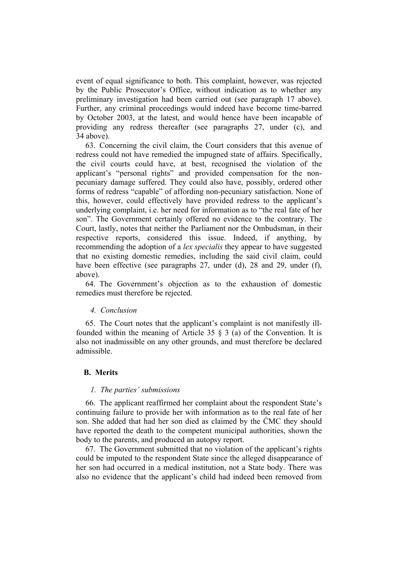event of equal significance to both. This complaint, however, was rejected by the Public Prosecutor's Office, without indication as to whether any preliminary investigation had been carried out (see paragraph 17 above). Further, any criminal proceedings would indeed have become time-barred by October 2003, at the latest, and would hence have been incapable of providing any redress thereafter (see paragraphs 27, under (c), and 34 above).

63. Concerning the civil claim, the Court considers that this avenue of redress could not have remedied the impugned state of affairs. Specifically, the civil courts could have, at best, recognised the violation of the applicant's "personal rights" and provided compensation for the nonpecuniary damage suffered. They could also have, possibly, ordered other forms of redress "capable" of affording non-pecuniary satisfaction. None of this, however, could effectively have provided redress to the applicant's underlying complaint, i.e. her need for information as to "the real fate of her son". The Government certainly offered no evidence to the contrary. The Court, lastly, notes that neither the Parliament nor the Ombudsman, in their respective reports, considered this issue. Indeed, if anything, by recommending the adoption of a *lex specialis* they appear to have suggested that no existing domestic remedies, including the said civil claim, could have been effective (see paragraphs 27, under (d), 28 and 29, under (f), above).

64. The Government's objection as to the exhaustion of domestic remedies must therefore be rejected.

#### *4. Conclusion*

65. The Court notes that the applicant's complaint is not manifestly illfounded within the meaning of Article 35  $\S$  3 (a) of the Convention. It is also not inadmissible on any other grounds, and must therefore be declared admissible.

#### **B. Merits**

#### *1. The parties' submissions*

66. The applicant reaffirmed her complaint about the respondent State's continuing failure to provide her with information as to the real fate of her son. She added that had her son died as claimed by the ĆMC they should have reported the death to the competent municipal authorities, shown the body to the parents, and produced an autopsy report.

67. The Government submitted that no violation of the applicant's rights could be imputed to the respondent State since the alleged disappearance of her son had occurred in a medical institution, not a State body. There was also no evidence that the applicant's child had indeed been removed from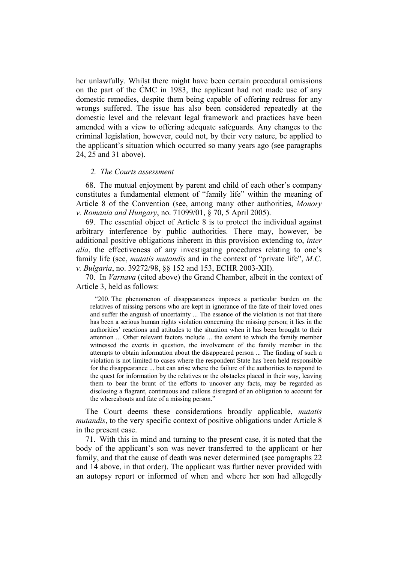her unlawfully. Whilst there might have been certain procedural omissions on the part of the ĆMC in 1983, the applicant had not made use of any domestic remedies, despite them being capable of offering redress for any wrongs suffered. The issue has also been considered repeatedly at the domestic level and the relevant legal framework and practices have been amended with a view to offering adequate safeguards. Any changes to the criminal legislation, however, could not, by their very nature, be applied to the applicant's situation which occurred so many years ago (see paragraphs 24, 25 and 31 above).

#### *2. The Courts assessment*

68. The mutual enjoyment by parent and child of each other's company constitutes a fundamental element of "family life" within the meaning of Article 8 of the Convention (see, among many other authorities, *Monory v. Romania and Hungary*, no. 71099/01, § 70, 5 April 2005).

69. The essential object of Article 8 is to protect the individual against arbitrary interference by public authorities. There may, however, be additional positive obligations inherent in this provision extending to, *inter alia*, the effectiveness of any investigating procedures relating to one's family life (see, *mutatis mutandis* and in the context of "private life", *M.C. v. Bulgaria*, no. 39272/98, §§ 152 and 153, ECHR 2003-XII).

70. In *Varnava* (cited above) the Grand Chamber, albeit in the context of Article 3, held as follows:

"200. The phenomenon of disappearances imposes a particular burden on the relatives of missing persons who are kept in ignorance of the fate of their loved ones and suffer the anguish of uncertainty ... The essence of the violation is not that there has been a serious human rights violation concerning the missing person; it lies in the authorities' reactions and attitudes to the situation when it has been brought to their attention ... Other relevant factors include ... the extent to which the family member witnessed the events in question, the involvement of the family member in the attempts to obtain information about the disappeared person ... The finding of such a violation is not limited to cases where the respondent State has been held responsible for the disappearance ... but can arise where the failure of the authorities to respond to the quest for information by the relatives or the obstacles placed in their way, leaving them to bear the brunt of the efforts to uncover any facts, may be regarded as disclosing a flagrant, continuous and callous disregard of an obligation to account for the whereabouts and fate of a missing person."

The Court deems these considerations broadly applicable, *mutatis mutandis*, to the very specific context of positive obligations under Article 8 in the present case.

71. With this in mind and turning to the present case, it is noted that the body of the applicant's son was never transferred to the applicant or her family, and that the cause of death was never determined (see paragraphs 22 and 14 above, in that order). The applicant was further never provided with an autopsy report or informed of when and where her son had allegedly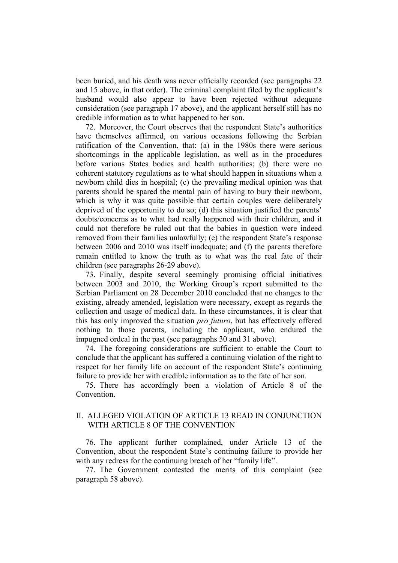been buried, and his death was never officially recorded (see paragraphs 22 and 15 above, in that order). The criminal complaint filed by the applicant's husband would also appear to have been rejected without adequate consideration (see paragraph 17 above), and the applicant herself still has no credible information as to what happened to her son.

72. Moreover, the Court observes that the respondent State's authorities have themselves affirmed, on various occasions following the Serbian ratification of the Convention, that: (a) in the 1980s there were serious shortcomings in the applicable legislation, as well as in the procedures before various States bodies and health authorities; (b) there were no coherent statutory regulations as to what should happen in situations when a newborn child dies in hospital; (c) the prevailing medical opinion was that parents should be spared the mental pain of having to bury their newborn, which is why it was quite possible that certain couples were deliberately deprived of the opportunity to do so; (d) this situation justified the parents' doubts/concerns as to what had really happened with their children, and it could not therefore be ruled out that the babies in question were indeed removed from their families unlawfully; (e) the respondent State's response between 2006 and 2010 was itself inadequate; and (f) the parents therefore remain entitled to know the truth as to what was the real fate of their children (see paragraphs 26-29 above).

73. Finally, despite several seemingly promising official initiatives between 2003 and 2010, the Working Group's report submitted to the Serbian Parliament on 28 December 2010 concluded that no changes to the existing, already amended, legislation were necessary, except as regards the collection and usage of medical data. In these circumstances, it is clear that this has only improved the situation *pro futuro*, but has effectively offered nothing to those parents, including the applicant, who endured the impugned ordeal in the past (see paragraphs 30 and 31 above).

74. The foregoing considerations are sufficient to enable the Court to conclude that the applicant has suffered a continuing violation of the right to respect for her family life on account of the respondent State's continuing failure to provide her with credible information as to the fate of her son.

75. There has accordingly been a violation of Article 8 of the **Convention** 

### II. ALLEGED VIOLATION OF ARTICLE 13 READ IN CONJUNCTION WITH ARTICLE 8 OF THE CONVENTION

76. The applicant further complained, under Article 13 of the Convention, about the respondent State's continuing failure to provide her with any redress for the continuing breach of her "family life".

77. The Government contested the merits of this complaint (see paragraph 58 above).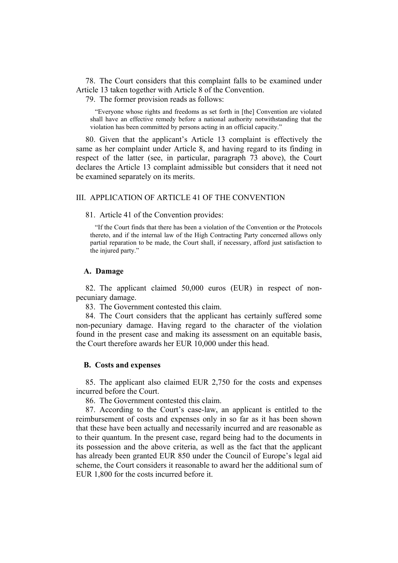78. The Court considers that this complaint falls to be examined under Article 13 taken together with Article 8 of the Convention.

79. The former provision reads as follows:

"Everyone whose rights and freedoms as set forth in [the] Convention are violated shall have an effective remedy before a national authority notwithstanding that the violation has been committed by persons acting in an official capacity."

80. Given that the applicant's Article 13 complaint is effectively the same as her complaint under Article 8, and having regard to its finding in respect of the latter (see, in particular, paragraph 73 above), the Court declares the Article 13 complaint admissible but considers that it need not be examined separately on its merits.

### III. APPLICATION OF ARTICLE 41 OF THE CONVENTION

#### 81. Article 41 of the Convention provides:

"If the Court finds that there has been a violation of the Convention or the Protocols thereto, and if the internal law of the High Contracting Party concerned allows only partial reparation to be made, the Court shall, if necessary, afford just satisfaction to the injured party."

### **A. Damage**

82. The applicant claimed 50,000 euros (EUR) in respect of nonpecuniary damage.

83. The Government contested this claim.

84. The Court considers that the applicant has certainly suffered some non-pecuniary damage. Having regard to the character of the violation found in the present case and making its assessment on an equitable basis, the Court therefore awards her EUR 10,000 under this head.

#### **B. Costs and expenses**

85. The applicant also claimed EUR 2,750 for the costs and expenses incurred before the Court.

86. The Government contested this claim.

87. According to the Court's case-law, an applicant is entitled to the reimbursement of costs and expenses only in so far as it has been shown that these have been actually and necessarily incurred and are reasonable as to their quantum. In the present case, regard being had to the documents in its possession and the above criteria, as well as the fact that the applicant has already been granted EUR 850 under the Council of Europe's legal aid scheme, the Court considers it reasonable to award her the additional sum of EUR 1,800 for the costs incurred before it.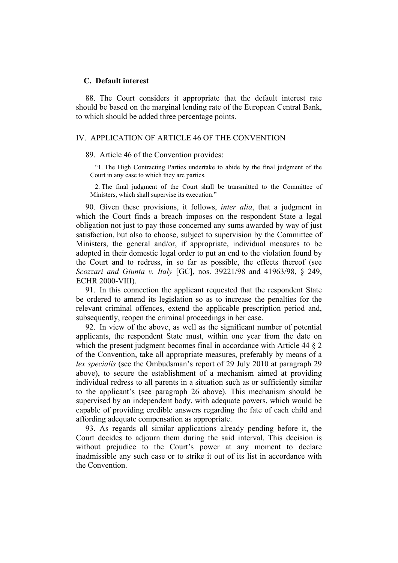#### **C. Default interest**

88. The Court considers it appropriate that the default interest rate should be based on the marginal lending rate of the European Central Bank, to which should be added three percentage points.

### IV. APPLICATION OF ARTICLE 46 OF THE CONVENTION

#### 89. Article 46 of the Convention provides:

"1. The High Contracting Parties undertake to abide by the final judgment of the Court in any case to which they are parties.

2. The final judgment of the Court shall be transmitted to the Committee of Ministers, which shall supervise its execution."

90. Given these provisions, it follows, *inter alia*, that a judgment in which the Court finds a breach imposes on the respondent State a legal obligation not just to pay those concerned any sums awarded by way of just satisfaction, but also to choose, subject to supervision by the Committee of Ministers, the general and/or, if appropriate, individual measures to be adopted in their domestic legal order to put an end to the violation found by the Court and to redress, in so far as possible, the effects thereof (see *Scozzari and Giunta v. Italy* [GC], nos. 39221/98 and 41963/98, § 249, ECHR 2000-VIII).

91. In this connection the applicant requested that the respondent State be ordered to amend its legislation so as to increase the penalties for the relevant criminal offences, extend the applicable prescription period and, subsequently, reopen the criminal proceedings in her case.

92. In view of the above, as well as the significant number of potential applicants, the respondent State must, within one year from the date on which the present judgment becomes final in accordance with Article 44 § 2 of the Convention, take all appropriate measures, preferably by means of a *lex specialis* (see the Ombudsman's report of 29 July 2010 at paragraph 29 above), to secure the establishment of a mechanism aimed at providing individual redress to all parents in a situation such as or sufficiently similar to the applicant's (see paragraph 26 above). This mechanism should be supervised by an independent body, with adequate powers, which would be capable of providing credible answers regarding the fate of each child and affording adequate compensation as appropriate.

93. As regards all similar applications already pending before it, the Court decides to adjourn them during the said interval. This decision is without prejudice to the Court's power at any moment to declare inadmissible any such case or to strike it out of its list in accordance with the Convention.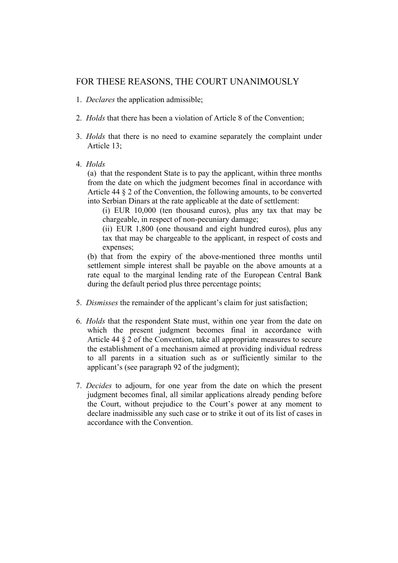## FOR THESE REASONS, THE COURT UNANIMOUSLY

- 1. *Declares* the application admissible;
- 2. *Holds* that there has been a violation of Article 8 of the Convention;
- 3. *Holds* that there is no need to examine separately the complaint under Article 13;
- 4. *Holds*

(a) that the respondent State is to pay the applicant, within three months from the date on which the judgment becomes final in accordance with Article 44 § 2 of the Convention, the following amounts, to be converted into Serbian Dinars at the rate applicable at the date of settlement:

(i) EUR 10,000 (ten thousand euros), plus any tax that may be chargeable, in respect of non-pecuniary damage;

(ii) EUR 1,800 (one thousand and eight hundred euros), plus any tax that may be chargeable to the applicant, in respect of costs and expenses;

(b) that from the expiry of the above-mentioned three months until settlement simple interest shall be payable on the above amounts at a rate equal to the marginal lending rate of the European Central Bank during the default period plus three percentage points;

- 5. *Dismisses* the remainder of the applicant's claim for just satisfaction;
- 6. *Holds* that the respondent State must, within one year from the date on which the present judgment becomes final in accordance with Article 44 § 2 of the Convention, take all appropriate measures to secure the establishment of a mechanism aimed at providing individual redress to all parents in a situation such as or sufficiently similar to the applicant's (see paragraph 92 of the judgment);
- 7. *Decides* to adjourn, for one year from the date on which the present judgment becomes final, all similar applications already pending before the Court, without prejudice to the Court's power at any moment to declare inadmissible any such case or to strike it out of its list of cases in accordance with the Convention.